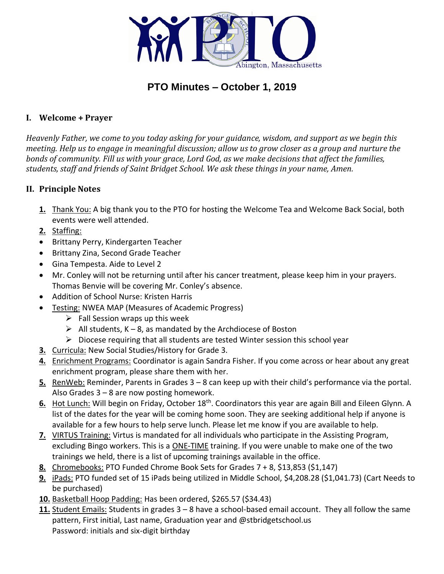

# **PTO Minutes – October 1, 2019**

## **I. Welcome + Prayer**

*Heavenly Father, we come to you today asking for your guidance, wisdom, and support as we begin this meeting. Help us to engage in meaningful discussion; allow us to grow closer as a group and nurture the bonds of community. Fill us with your grace, Lord God, as we make decisions that affect the families, students, staff and friends of Saint Bridget School. We ask these things in your name, Amen.*

## **II. Principle Notes**

- **1.** Thank You: A big thank you to the PTO for hosting the Welcome Tea and Welcome Back Social, both events were well attended.
- **2.** Staffing:
- Brittany Perry, Kindergarten Teacher
- Brittany Zina, Second Grade Teacher
- Gina Tempesta. Aide to Level 2
- Mr. Conley will not be returning until after his cancer treatment, please keep him in your prayers. Thomas Benvie will be covering Mr. Conley's absence.
- Addition of School Nurse: Kristen Harris
- Testing: NWEA MAP (Measures of Academic Progress)
	- $\triangleright$  Fall Session wraps up this week
	- $\triangleright$  All students, K 8, as mandated by the Archdiocese of Boston
	- $\triangleright$  Diocese requiring that all students are tested Winter session this school year
- **3.** Curricula: New Social Studies/History for Grade 3.
- **4.** Enrichment Programs: Coordinator is again Sandra Fisher. If you come across or hear about any great enrichment program, please share them with her.
- **5.** RenWeb: Reminder, Parents in Grades 3 8 can keep up with their child's performance via the portal. Also Grades 3 – 8 are now posting homework.
- **6.** Hot Lunch: Will begin on Friday, October 18<sup>th</sup>. Coordinators this year are again Bill and Eileen Glynn. A list of the dates for the year will be coming home soon. They are seeking additional help if anyone is available for a few hours to help serve lunch. Please let me know if you are available to help.
- **7.** VIRTUS Training: Virtus is mandated for all individuals who participate in the Assisting Program, excluding Bingo workers. This is a **ONE-TIME** training. If you were unable to make one of the two trainings we held, there is a list of upcoming trainings available in the office.
- **8.** Chromebooks: PTO Funded Chrome Book Sets for Grades 7 + 8, \$13,853 (\$1,147)
- **9.** iPads: PTO funded set of 15 iPads being utilized in Middle School, \$4,208.28 (\$1,041.73) (Cart Needs to be purchased)
- **10.** Basketball Hoop Padding: Has been ordered, \$265.57 (\$34.43)
- **11.** Student Emails: Students in grades 3 8 have a school-based email account. They all follow the same pattern, First initial, Last name, Graduation year and @stbridgetschool.us Password: initials and six-digit birthday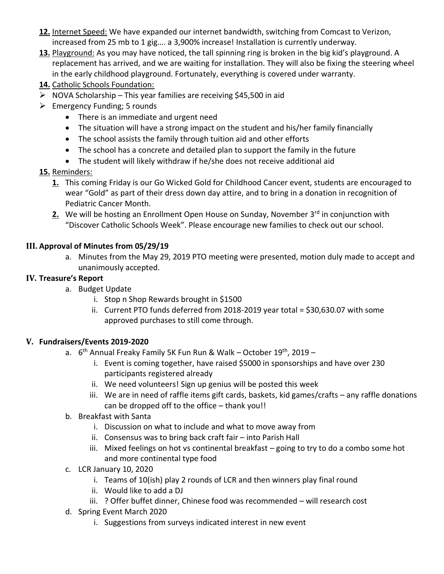- **12.** Internet Speed: We have expanded our internet bandwidth, switching from Comcast to Verizon, increased from 25 mb to 1 gig…. a 3,900% increase! Installation is currently underway.
- **13.** Playground: As you may have noticed, the tall spinning ring is broken in the big kid's playground. A replacement has arrived, and we are waiting for installation. They will also be fixing the steering wheel in the early childhood playground. Fortunately, everything is covered under warranty.
- **14.** Catholic Schools Foundation:
- $\triangleright$  NOVA Scholarship This year families are receiving \$45,500 in aid
- $\triangleright$  Emergency Funding; 5 rounds
	- There is an immediate and urgent need
	- The situation will have a strong impact on the student and his/her family financially
	- The school assists the family through tuition aid and other efforts
	- The school has a concrete and detailed plan to support the family in the future
	- The student will likely withdraw if he/she does not receive additional aid

## **15.** Reminders:

- **1.** This coming Friday is our Go Wicked Gold for Childhood Cancer event, students are encouraged to wear "Gold" as part of their dress down day attire, and to bring in a donation in recognition of Pediatric Cancer Month.
- **2.** We will be hosting an Enrollment Open House on Sunday, November 3<sup>rd</sup> in conjunction with "Discover Catholic Schools Week". Please encourage new families to check out our school.

### **III. Approval of Minutes from 05/29/19**

a. Minutes from the May 29, 2019 PTO meeting were presented, motion duly made to accept and unanimously accepted.

### **IV. Treasure's Report**

- a. Budget Update
	- i. Stop n Shop Rewards brought in \$1500
	- ii. Current PTO funds deferred from 2018-2019 year total = \$30,630.07 with some approved purchases to still come through.

### **V. Fundraisers/Events 2019-2020**

- a. 6<sup>th</sup> Annual Freaky Family 5K Fun Run & Walk October 19<sup>th</sup>, 2019
	- i. Event is coming together, have raised \$5000 in sponsorships and have over 230 participants registered already
	- ii. We need volunteers! Sign up genius will be posted this week
	- iii. We are in need of raffle items gift cards, baskets, kid games/crafts any raffle donations can be dropped off to the office – thank you!!
- b. Breakfast with Santa
	- i. Discussion on what to include and what to move away from
	- ii. Consensus was to bring back craft fair into Parish Hall
	- iii. Mixed feelings on hot vs continental breakfast going to try to do a combo some hot and more continental type food
- c. LCR January 10, 2020
	- i. Teams of 10(ish) play 2 rounds of LCR and then winners play final round
	- ii. Would like to add a DJ
	- iii. ? Offer buffet dinner, Chinese food was recommended will research cost
- d. Spring Event March 2020
	- i. Suggestions from surveys indicated interest in new event